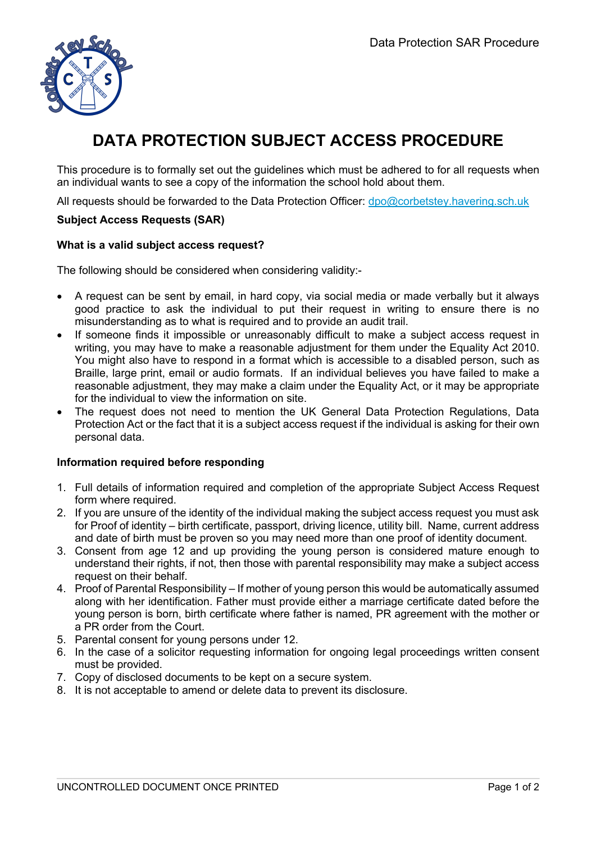

# **DATA PROTECTION SUBJECT ACCESS PROCEDURE**

This procedure is to formally set out the guidelines which must be adhered to for all requests when an individual wants to see a copy of the information the school hold about them.

All requests should be forwarded to the Data Protection Officer: dpo@corbetstey.havering.sch.uk

#### **Subject Access Requests (SAR)**

#### **What is a valid subject access request?**

The following should be considered when considering validity:-

- A request can be sent by email, in hard copy, via social media or made verbally but it always good practice to ask the individual to put their request in writing to ensure there is no misunderstanding as to what is required and to provide an audit trail.
- If someone finds it impossible or unreasonably difficult to make a subject access request in writing, you may have to make a reasonable adjustment for them under the Equality Act 2010. You might also have to respond in a format which is accessible to a disabled person, such as Braille, large print, email or audio formats. If an individual believes you have failed to make a reasonable adjustment, they may make a claim under the Equality Act, or it may be appropriate for the individual to view the information on site.
- The request does not need to mention the UK General Data Protection Regulations, Data Protection Act or the fact that it is a subject access request if the individual is asking for their own personal data.

#### **Information required before responding**

- 1. Full details of information required and completion of the appropriate Subject Access Request form where required.
- 2. If you are unsure of the identity of the individual making the subject access request you must ask for Proof of identity – birth certificate, passport, driving licence, utility bill. Name, current address and date of birth must be proven so you may need more than one proof of identity document.
- 3. Consent from age 12 and up providing the young person is considered mature enough to understand their rights, if not, then those with parental responsibility may make a subject access request on their behalf.
- 4. Proof of Parental Responsibility If mother of young person this would be automatically assumed along with her identification. Father must provide either a marriage certificate dated before the young person is born, birth certificate where father is named, PR agreement with the mother or a PR order from the Court.
- 5. Parental consent for young persons under 12.
- 6. In the case of a solicitor requesting information for ongoing legal proceedings written consent must be provided.
- 7. Copy of disclosed documents to be kept on a secure system.
- 8. It is not acceptable to amend or delete data to prevent its disclosure.